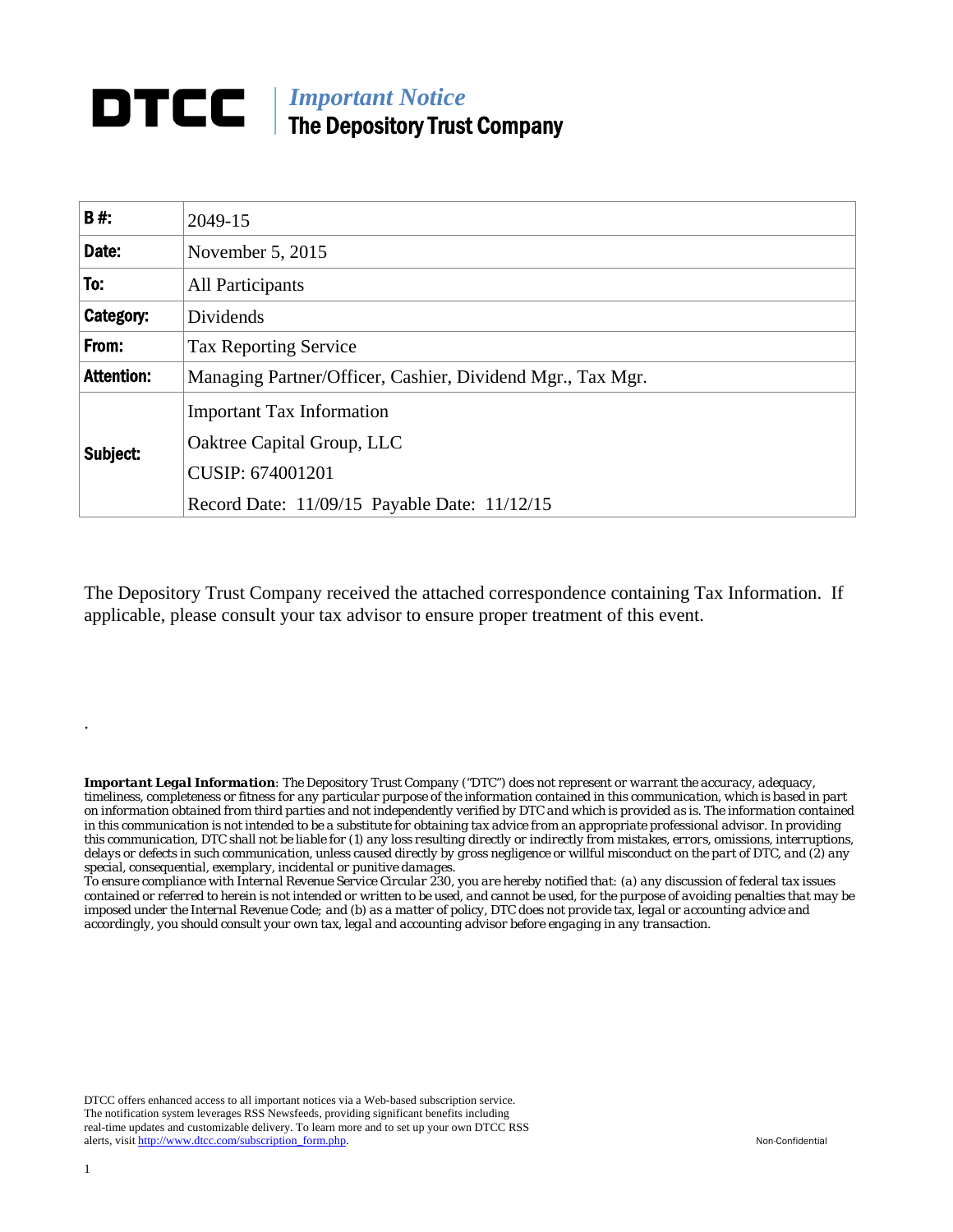# *Important Notice*  DTCC | The Depository Trust Company

| <b>B#:</b>        | 2049-15                                                    |
|-------------------|------------------------------------------------------------|
| Date:             | November 5, 2015                                           |
| To:               | <b>All Participants</b>                                    |
| Category:         | Dividends                                                  |
| From:             | <b>Tax Reporting Service</b>                               |
| <b>Attention:</b> | Managing Partner/Officer, Cashier, Dividend Mgr., Tax Mgr. |
| Subject:          | <b>Important Tax Information</b>                           |
|                   | Oaktree Capital Group, LLC                                 |
|                   | CUSIP: 674001201                                           |
|                   | Record Date: 11/09/15 Payable Date: 11/12/15               |

The Depository Trust Company received the attached correspondence containing Tax Information. If applicable, please consult your tax advisor to ensure proper treatment of this event.

*Important Legal Information: The Depository Trust Company ("DTC") does not represent or warrant the accuracy, adequacy, timeliness, completeness or fitness for any particular purpose of the information contained in this communication, which is based in part on information obtained from third parties and not independently verified by DTC and which is provided as is. The information contained in this communication is not intended to be a substitute for obtaining tax advice from an appropriate professional advisor. In providing this communication, DTC shall not be liable for (1) any loss resulting directly or indirectly from mistakes, errors, omissions, interruptions, delays or defects in such communication, unless caused directly by gross negligence or willful misconduct on the part of DTC, and (2) any special, consequential, exemplary, incidental or punitive damages.* 

*To ensure compliance with Internal Revenue Service Circular 230, you are hereby notified that: (a) any discussion of federal tax issues contained or referred to herein is not intended or written to be used, and cannot be used, for the purpose of avoiding penalties that may be imposed under the Internal Revenue Code; and (b) as a matter of policy, DTC does not provide tax, legal or accounting advice and accordingly, you should consult your own tax, legal and accounting advisor before engaging in any transaction.*

DTCC offers enhanced access to all important notices via a Web-based subscription service. The notification system leverages RSS Newsfeeds, providing significant benefits including real-time updates and customizable delivery. To learn more and to set up your own DTCC RSS alerts, visit http://www.dtcc.com/subscription\_form.php. Non-Confidential

.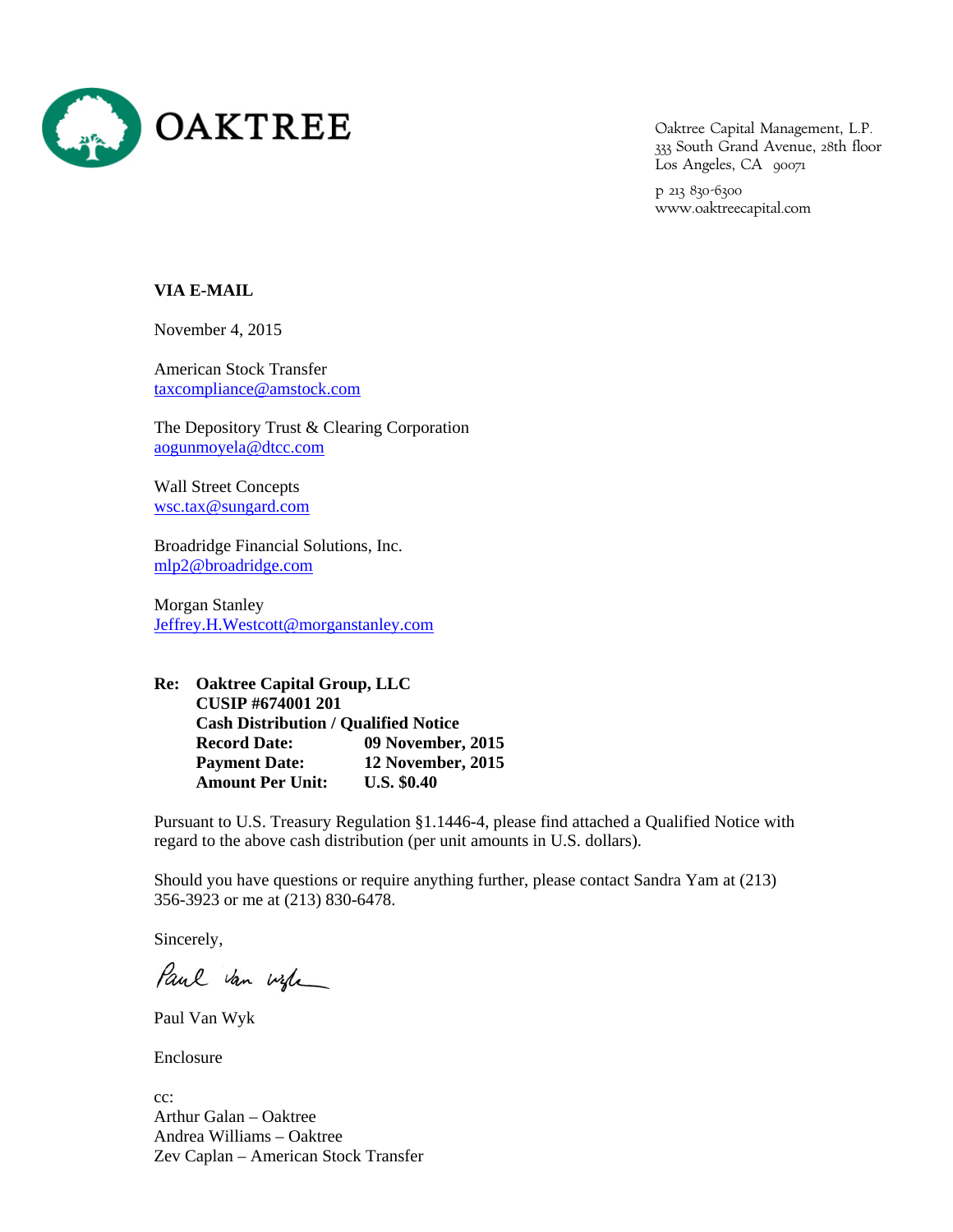

Oaktree Capital Management, L.P. 333 South Grand Avenue, 28th floor Los Angeles, CA 90071

p 213 830-6300 www.oaktreecapital.com

## **VIA E-MAIL**

November 4, 2015

American Stock Transfer taxcompliance@amstock.com

The Depository Trust & Clearing Corporation aogunmoyela@dtcc.com

Wall Street Concepts wsc.tax@sungard.com

Broadridge Financial Solutions, Inc. mlp2@broadridge.com

Morgan Stanley Jeffrey.H.Westcott@morganstanley.com

**Re: Oaktree Capital Group, LLC CUSIP #674001 201 Cash Distribution / Qualified Notice Record Date: 09 November, 2015 Payment Date: 12 November, 2015 Amount Per Unit: U.S. \$0.40** 

Pursuant to U.S. Treasury Regulation §1.1446-4, please find attached a Qualified Notice with regard to the above cash distribution (per unit amounts in U.S. dollars).

Should you have questions or require anything further, please contact Sandra Yam at (213) 356-3923 or me at (213) 830-6478.

Sincerely,

Paul van wife

Paul Van Wyk

Enclosure

cc: Arthur Galan – Oaktree Andrea Williams – Oaktree Zev Caplan – American Stock Transfer